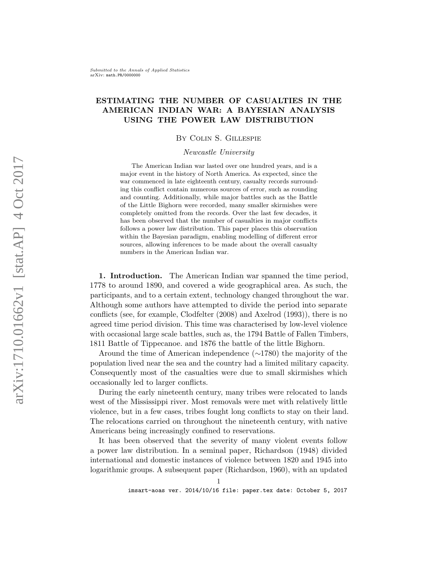# ESTIMATING THE NUMBER OF CASUALTIES IN THE AMERICAN INDIAN WAR: A BAYESIAN ANALYSIS USING THE POWER LAW DISTRIBUTION

# By Colin S. Gillespie

### Newcastle University

The American Indian war lasted over one hundred years, and is a major event in the history of North America. As expected, since the war commenced in late eighteenth century, casualty records surrounding this conflict contain numerous sources of error, such as rounding and counting. Additionally, while major battles such as the Battle of the Little Bighorn were recorded, many smaller skirmishes were completely omitted from the records. Over the last few decades, it has been observed that the number of casualties in major conflicts follows a power law distribution. This paper places this observation within the Bayesian paradigm, enabling modelling of different error sources, allowing inferences to be made about the overall casualty numbers in the American Indian war.

1. Introduction. The American Indian war spanned the time period, 1778 to around 1890, and covered a wide geographical area. As such, the participants, and to a certain extent, technology changed throughout the war. Although some authors have attempted to divide the period into separate conflicts (see, for example, Clodfelter (2008) and Axelrod (1993)), there is no agreed time period division. This time was characterised by low-level violence with occasional large scale battles, such as, the 1794 Battle of Fallen Timbers, 1811 Battle of Tippecanoe. and 1876 the battle of the little Bighorn.

Around the time of American independence (∼1780) the majority of the population lived near the sea and the country had a limited military capacity. Consequently most of the casualties were due to small skirmishes which occasionally led to larger conflicts.

During the early nineteenth century, many tribes were relocated to lands west of the Mississippi river. Most removals were met with relatively little violence, but in a few cases, tribes fought long conflicts to stay on their land. The relocations carried on throughout the nineteenth century, with native Americans being increasingly confined to reservations.

It has been observed that the severity of many violent events follow a power law distribution. In a seminal paper, Richardson (1948) divided international and domestic instances of violence between 1820 and 1945 into logarithmic groups. A subsequent paper (Richardson, 1960), with an updated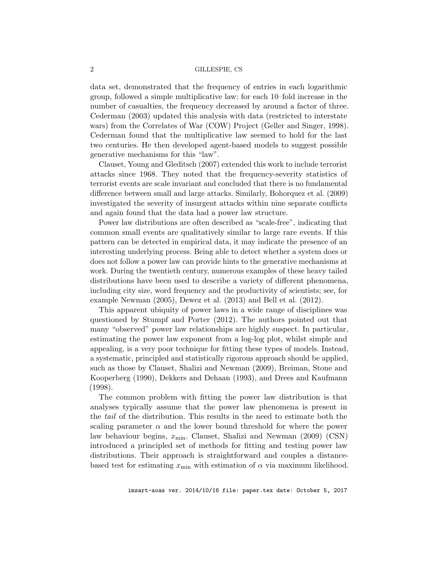data set, demonstrated that the frequency of entries in each logarithmic group, followed a simple multiplicative law: for each 10–fold increase in the number of casualties, the frequency decreased by around a factor of three. Cederman (2003) updated this analysis with data (restricted to interstate wars) from the Correlates of War (COW) Project (Geller and Singer, 1998). Cederman found that the multiplicative law seemed to hold for the last two centuries. He then developed agent-based models to suggest possible generative mechanisms for this "law".

Clauset, Young and Gleditsch (2007) extended this work to include terrorist attacks since 1968. They noted that the frequency-severity statistics of terrorist events are scale invariant and concluded that there is no fundamental difference between small and large attacks. Similarly, Bohorquez et al. (2009) investigated the severity of insurgent attacks within nine separate conflicts and again found that the data had a power law structure.

Power law distributions are often described as "scale-free", indicating that common small events are qualitatively similar to large rare events. If this pattern can be detected in empirical data, it may indicate the presence of an interesting underlying process. Being able to detect whether a system does or does not follow a power law can provide hints to the generative mechanisms at work. During the twentieth century, numerous examples of these heavy tailed distributions have been used to describe a variety of different phenomena, including city size, word frequency and the productivity of scientists; see, for example Newman (2005), Dewez et al. (2013) and Bell et al. (2012).

This apparent ubiquity of power laws in a wide range of disciplines was questioned by Stumpf and Porter (2012). The authors pointed out that many "observed" power law relationships are highly suspect. In particular, estimating the power law exponent from a log-log plot, whilst simple and appealing, is a very poor technique for fitting these types of models. Instead, a systematic, principled and statistically rigorous approach should be applied, such as those by Clauset, Shalizi and Newman (2009), Breiman, Stone and Kooperberg (1990), Dekkers and Dehaan (1993), and Drees and Kaufmann (1998).

The common problem with fitting the power law distribution is that analyses typically assume that the power law phenomena is present in the tail of the distribution. This results in the need to estimate both the scaling parameter  $\alpha$  and the lower bound threshold for where the power law behaviour begins,  $x_{\min}$ . Clauset, Shalizi and Newman (2009) (CSN) introduced a principled set of methods for fitting and testing power law distributions. Their approach is straightforward and couples a distancebased test for estimating  $x_{\text{min}}$  with estimation of  $\alpha$  via maximum likelihood.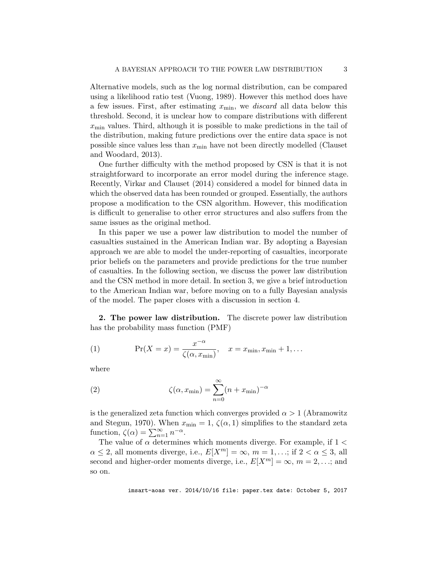Alternative models, such as the log normal distribution, can be compared using a likelihood ratio test (Vuong, 1989). However this method does have a few issues. First, after estimating  $x_{\min}$ , we *discard* all data below this threshold. Second, it is unclear how to compare distributions with different  $x_{\min}$  values. Third, although it is possible to make predictions in the tail of the distribution, making future predictions over the entire data space is not possible since values less than  $x_{\min}$  have not been directly modelled (Clauset and Woodard, 2013).

One further difficulty with the method proposed by CSN is that it is not straightforward to incorporate an error model during the inference stage. Recently, Virkar and Clauset (2014) considered a model for binned data in which the observed data has been rounded or grouped. Essentially, the authors propose a modification to the CSN algorithm. However, this modification is difficult to generalise to other error structures and also suffers from the same issues as the original method.

In this paper we use a power law distribution to model the number of casualties sustained in the American Indian war. By adopting a Bayesian approach we are able to model the under-reporting of casualties, incorporate prior beliefs on the parameters and provide predictions for the true number of casualties. In the following section, we discuss the power law distribution and the CSN method in more detail. In section 3, we give a brief introduction to the American Indian war, before moving on to a fully Bayesian analysis of the model. The paper closes with a discussion in section 4.

2. The power law distribution. The discrete power law distribution has the probability mass function (PMF)

(1) 
$$
\Pr(X = x) = \frac{x^{-\alpha}}{\zeta(\alpha, x_{\min})}, \quad x = x_{\min}, x_{\min} + 1, \dots
$$

where

(2) 
$$
\zeta(\alpha, x_{\min}) = \sum_{n=0}^{\infty} (n + x_{\min})^{-\alpha}
$$

is the generalized zeta function which converges provided  $\alpha > 1$  (Abramowitz and Stegun, 1970). When  $x_{\min} = 1$ ,  $\zeta(\alpha, 1)$  simplifies to the standard zeta function,  $\zeta(\alpha) = \sum_{n=1}^{\infty} n^{-\alpha}$ .

The value of  $\alpha$  determines which moments diverge. For example, if  $1 <$  $\alpha \leq 2$ , all moments diverge, i.e.,  $E[X^m] = \infty$ ,  $m = 1, \ldots$ ; if  $2 < \alpha \leq 3$ , all second and higher-order moments diverge, i.e.,  $E[X^m] = \infty$ ,  $m = 2, \dots$ ; and so on.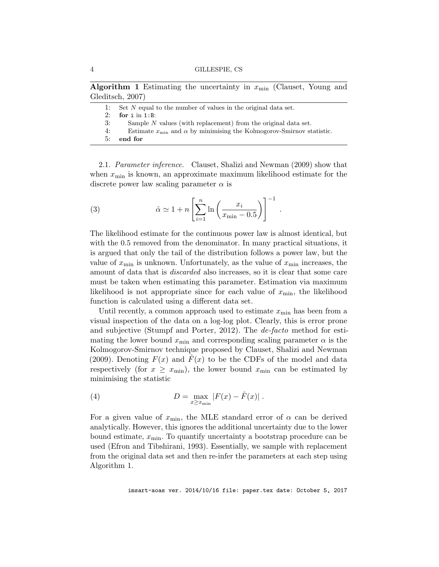Algorithm 1 Estimating the uncertainty in  $x_{\text{min}}$  (Clauset, Young and Gleditsch, 2007)

|    | 1: Set N equal to the number of values in the original data set.                 |
|----|----------------------------------------------------------------------------------|
| 2: | for $i$ in $1:B$ :                                                               |
| 3: | Sample $N$ values (with replacement) from the original data set.                 |
| 4: | Estimate $x_{\min}$ and $\alpha$ by minimising the Kolmogorov-Smirnov statistic. |
| 5: | end for                                                                          |
|    |                                                                                  |

2.1. Parameter inference. Clauset, Shalizi and Newman (2009) show that when  $x_{\min}$  is known, an approximate maximum likelihood estimate for the discrete power law scaling parameter  $\alpha$  is

(3) 
$$
\hat{\alpha} \simeq 1 + n \left[ \sum_{i=1}^{n} \ln \left( \frac{x_i}{x_{\min} - 0.5} \right) \right]^{-1} .
$$

The likelihood estimate for the continuous power law is almost identical, but with the 0.5 removed from the denominator. In many practical situations, it is argued that only the tail of the distribution follows a power law, but the value of  $x_{\min}$  is unknown. Unfortunately, as the value of  $x_{\min}$  increases, the amount of data that is *discarded* also increases, so it is clear that some care must be taken when estimating this parameter. Estimation via maximum likelihood is not appropriate since for each value of  $x_{\min}$ , the likelihood function is calculated using a different data set.

Until recently, a common approach used to estimate  $x_{\min}$  has been from a visual inspection of the data on a log-log plot. Clearly, this is error prone and subjective (Stumpf and Porter, 2012). The *de-facto* method for estimating the lower bound  $x_{\text{min}}$  and corresponding scaling parameter  $\alpha$  is the Kolmogorov-Smirnov technique proposed by Clauset, Shalizi and Newman (2009). Denoting  $F(x)$  and  $F(x)$  to be the CDFs of the model and data respectively (for  $x \geq x_{\text{min}}$ ), the lower bound  $x_{\text{min}}$  can be estimated by minimising the statistic

(4) 
$$
D = \max_{x \ge x_{\min}} |F(x) - \hat{F}(x)|.
$$

For a given value of  $x_{\text{min}}$ , the MLE standard error of  $\alpha$  can be derived analytically. However, this ignores the additional uncertainty due to the lower bound estimate,  $x_{\min}$ . To quantify uncertainty a bootstrap procedure can be used (Efron and Tibshirani, 1993). Essentially, we sample with replacement from the original data set and then re-infer the parameters at each step using Algorithm 1.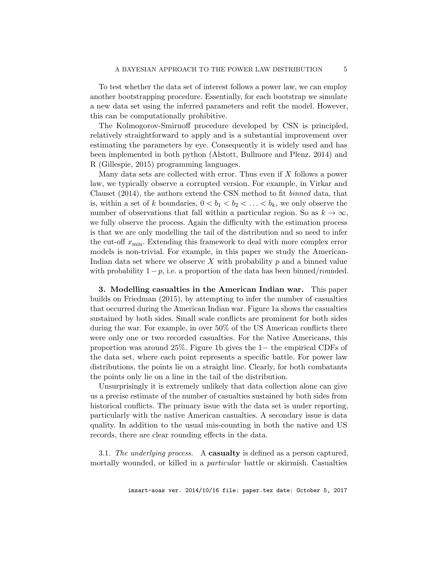To test whether the data set of interest follows a power law, we can employ another bootstrapping procedure. Essentially, for each bootstrap we simulate a new data set using the inferred parameters and refit the model. However, this can be computationally prohibitive.

The Kolmogorov-Smirnoff procedure developed by CSN is principled, relatively straightforward to apply and is a substantial improvement over estimating the parameters by eye. Consequently it is widely used and has been implemented in both python (Alstott, Bullmore and Plenz, 2014) and R (Gillespie, 2015) programming languages.

Many data sets are collected with error. Thus even if X follows a power law, we typically observe a corrupted version. For example, in Virkar and Clauset (2014), the authors extend the CSN method to fit binned data, that is, within a set of k boundaries,  $0 < b_1 < b_2 < \ldots < b_k$ , we only observe the number of observations that fall within a particular region. So as  $k \to \infty$ , we fully observe the process. Again the difficulty with the estimation process is that we are only modelling the tail of the distribution and so need to infer the cut-off  $x_{\text{min}}$ . Extending this framework to deal with more complex error models is non-trivial. For example, in this paper we study the American-Indian data set where we observe X with probability  $p$  and a binned value with probability  $1 - p$ , i.e. a proportion of the data has been binned/rounded.

3. Modelling casualties in the American Indian war. This paper builds on Friedman (2015), by attempting to infer the number of casualties that occurred during the American Indian war. Figure 1a shows the casualties sustained by both sides. Small scale conflicts are prominent for both sides during the war. For example, in over 50% of the US American conflicts there were only one or two recorded casualties. For the Native Americans, this proportion was around 25%. Figure 1b gives the 1− the empirical CDFs of the data set, where each point represents a specific battle. For power law distributions, the points lie on a straight line. Clearly, for both combatants the points only lie on a line in the tail of the distribution.

Unsurprisingly it is extremely unlikely that data collection alone can give us a precise estimate of the number of casualties sustained by both sides from historical conflicts. The primary issue with the data set is under reporting, particularly with the native American casualties. A secondary issue is data quality. In addition to the usual mis-counting in both the native and US records, there are clear rounding effects in the data.

3.1. The underlying process. A **casualty** is defined as a person captured, mortally wounded, or killed in a *particular* battle or skirmish. Casualties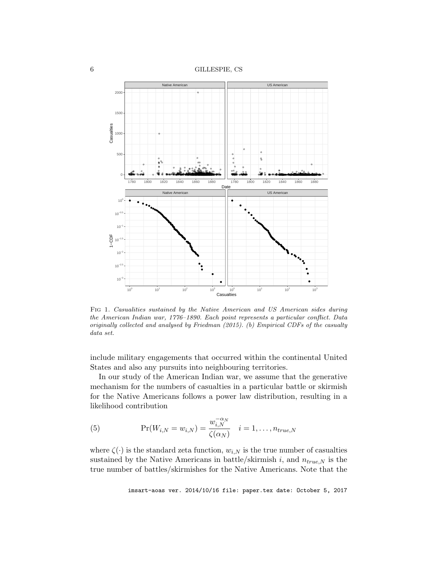6 GILLESPIE, CS



Fig 1. Casualities sustained by the Native American and US American sides during the American Indian war, 1776–1890. Each point represents a particular conflict. Data originally collected and analysed by Friedman (2015). (b) Empirical CDFs of the casualty data set.

include military engagements that occurred within the continental United States and also any pursuits into neighbouring territories.

In our study of the American Indian war, we assume that the generative mechanism for the numbers of casualties in a particular battle or skirmish for the Native Americans follows a power law distribution, resulting in a likelihood contribution

(5) 
$$
\Pr(W_{i,N} = w_{i,N}) = \frac{w_{i,N}^{-\alpha_N}}{\zeta(\alpha_N)} \quad i = 1,\ldots,n_{true,N}
$$

where  $\zeta(\cdot)$  is the standard zeta function,  $w_{i,N}$  is the true number of casualties sustained by the Native Americans in battle/skirmish  $i$ , and  $n_{true,N}$  is the true number of battles/skirmishes for the Native Americans. Note that the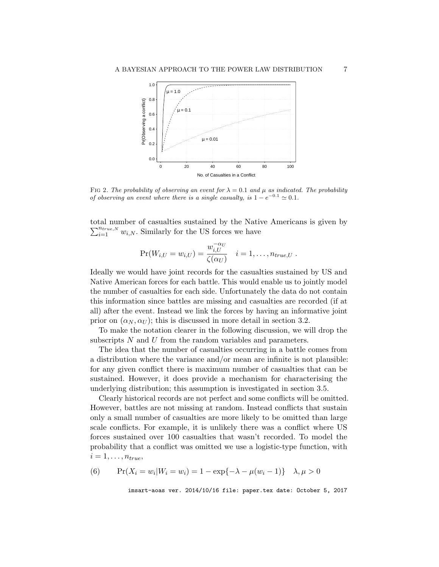

FIG 2. The probability of observing an event for  $\lambda = 0.1$  and  $\mu$  as indicated. The probability of observing an event where there is a single casualty, is  $1 - e^{-0.1} \approx 0.1$ .

total number of casualties sustained by the Native Americans is given by  $\sum_{i=1}^{n_{true,N}} w_{i,N}$ . Similarly for the US forces we have

$$
\Pr(W_{i,U} = w_{i,U}) = \frac{w_{i,U}^{-\alpha_U}}{\zeta(\alpha_U)} \quad i = 1,\ldots,n_{true,U} .
$$

Ideally we would have joint records for the casualties sustained by US and Native American forces for each battle. This would enable us to jointly model the number of casualties for each side. Unfortunately the data do not contain this information since battles are missing and casualties are recorded (if at all) after the event. Instead we link the forces by having an informative joint prior on  $(\alpha_N, \alpha_U)$ ; this is discussed in more detail in section 3.2.

To make the notation clearer in the following discussion, we will drop the subscripts N and U from the random variables and parameters.

The idea that the number of casualties occurring in a battle comes from a distribution where the variance and/or mean are infinite is not plausible: for any given conflict there is maximum number of casualties that can be sustained. However, it does provide a mechanism for characterising the underlying distribution; this assumption is investigated in section 3.5.

Clearly historical records are not perfect and some conflicts will be omitted. However, battles are not missing at random. Instead conflicts that sustain only a small number of casualties are more likely to be omitted than large scale conflicts. For example, it is unlikely there was a conflict where US forces sustained over 100 casualties that wasn't recorded. To model the probability that a conflict was omitted we use a logistic-type function, with  $i = 1, \ldots, n_{true},$ 

(6) 
$$
\Pr(X_i = w_i | W_i = w_i) = 1 - \exp\{-\lambda - \mu(w_i - 1)\} \quad \lambda, \mu > 0
$$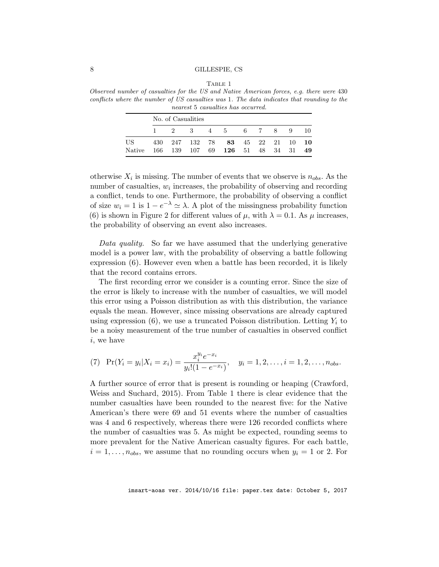TABLE 1 Observed number of casualties for the US and Native American forces, e.g. there were 430 conflicts where the number of US casualties was 1. The data indicates that rounding to the nearest 5 casualties has occurred.

|                | No. of Casualities |  |  |  |                                                                       |  |  |  |  |  |
|----------------|--------------------|--|--|--|-----------------------------------------------------------------------|--|--|--|--|--|
|                |                    |  |  |  | 1 2 3 4 5 6 7 8 9 10                                                  |  |  |  |  |  |
| US –<br>Native |                    |  |  |  | 430 247 132 78 83 45 22 21 10 10<br>166 139 107 69 126 51 48 34 31 49 |  |  |  |  |  |

otherwise  $X_i$  is missing. The number of events that we observe is  $n_{obs}$ . As the number of casualties,  $w_i$  increases, the probability of observing and recording a conflict, tends to one. Furthermore, the probability of observing a conflict of size  $w_i = 1$  is  $1 - e^{-\lambda} \simeq \lambda$ . A plot of the missingness probability function (6) is shown in Figure 2 for different values of  $\mu$ , with  $\lambda = 0.1$ . As  $\mu$  increases, the probability of observing an event also increases.

Data quality. So far we have assumed that the underlying generative model is a power law, with the probability of observing a battle following expression (6). However even when a battle has been recorded, it is likely that the record contains errors.

The first recording error we consider is a counting error. Since the size of the error is likely to increase with the number of casualties, we will model this error using a Poisson distribution as with this distribution, the variance equals the mean. However, since missing observations are already captured using expression  $(6)$ , we use a truncated Poisson distribution. Letting  $Y_i$  to be a noisy measurement of the true number of casualties in observed conflict i, we have

(7) 
$$
\Pr(Y_i = y_i | X_i = x_i) = \frac{x_i^{y_i} e^{-x_i}}{y_i! (1 - e^{-x_i})}, \quad y_i = 1, 2, \dots, i = 1, 2, \dots, n_{obs}.
$$

A further source of error that is present is rounding or heaping (Crawford, Weiss and Suchard, 2015). From Table 1 there is clear evidence that the number casualties have been rounded to the nearest five: for the Native American's there were 69 and 51 events where the number of casualties was 4 and 6 respectively, whereas there were 126 recorded conflicts where the number of casualties was 5. As might be expected, rounding seems to more prevalent for the Native American casualty figures. For each battle,  $i = 1, \ldots, n_{obs}$ , we assume that no rounding occurs when  $y_i = 1$  or 2. For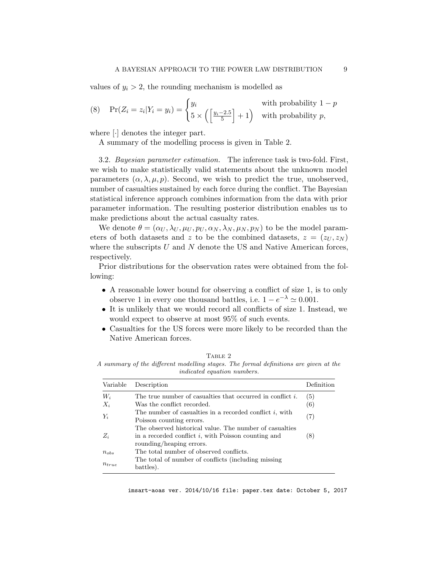values of  $y_i > 2$ , the rounding mechanism is modelled as

(8) 
$$
\Pr(Z_i = z_i | Y_i = y_i) = \begin{cases} y_i & \text{with probability } 1 - p \\ 5 \times \left( \frac{y_i - 2.5}{5} \right) + 1 \right) & \text{with probability } p, \end{cases}
$$

where [·] denotes the integer part.

A summary of the modelling process is given in Table 2.

3.2. Bayesian parameter estimation. The inference task is two-fold. First, we wish to make statistically valid statements about the unknown model parameters  $(\alpha, \lambda, \mu, p)$ . Second, we wish to predict the true, unobserved, number of casualties sustained by each force during the conflict. The Bayesian statistical inference approach combines information from the data with prior parameter information. The resulting posterior distribution enables us to make predictions about the actual casualty rates.

We denote  $\theta = (\alpha_U, \lambda_U, \mu_U, p_U, \alpha_N, \lambda_N, \mu_N, p_N)$  to be the model parameters of both datasets and z to be the combined datasets,  $z = (z_U, z_N)$ where the subscripts  $U$  and  $N$  denote the US and Native American forces, respectively.

Prior distributions for the observation rates were obtained from the following:

- A reasonable lower bound for observing a conflict of size 1, is to only observe 1 in every one thousand battles, i.e.  $1 - e^{-\lambda} \simeq 0.001$ .
- It is unlikely that we would record all conflicts of size 1. Instead, we would expect to observe at most 95% of such events.
- Casualties for the US forces were more likely to be recorded than the Native American forces.

| Variable   | Description                                                                            | Definition |
|------------|----------------------------------------------------------------------------------------|------------|
| $W_i$      | The true number of casualties that occurred in conflict $i$ .                          | (5)        |
| $X_i$      | Was the conflict recorded.                                                             | (6)        |
| $Y_i$      | The number of casualties in a recorded conflict $i$ , with<br>Poisson counting errors. | (7)        |
|            | The observed historical value. The number of casualties                                |            |
| $Z_i$      | in a recorded conflict i, with Poisson counting and<br>rounding/heaping errors.        | (8)        |
| $n_{obs}$  | The total number of observed conflicts.                                                |            |
| $n_{true}$ | The total of number of conflicts (including missing<br>battles).                       |            |

TABLE 2 A summary of the different modelling stages. The formal definitions are given at the

imsart-aoas ver. 2014/10/16 file: paper.tex date: October 5, 2017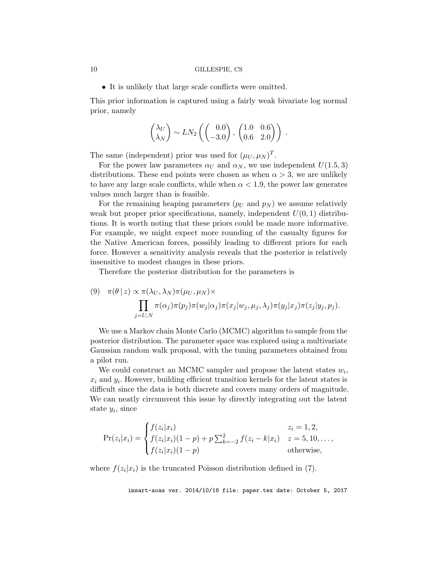• It is unlikely that large scale conflicts were omitted.

This prior information is captured using a fairly weak bivariate log normal prior, namely

$$
\begin{pmatrix} \lambda_U \\ \lambda_N \end{pmatrix} \sim LN_2 \left( \begin{pmatrix} 0.0 \\ -3.0 \end{pmatrix}, \begin{pmatrix} 1.0 & 0.6 \\ 0.6 & 2.0 \end{pmatrix} \right) .
$$

The same (independent) prior was used for  $(\mu_U, \mu_N)^T$ .

For the power law parameters  $\alpha_U$  and  $\alpha_N$ , we use independent  $U(1.5, 3)$ distributions. These end points were chosen as when  $\alpha > 3$ , we are unlikely to have any large scale conflicts, while when  $\alpha < 1.9$ , the power law generates values much larger than is feasible.

For the remaining heaping parameters  $(p_U \text{ and } p_N)$  we assume relatively weak but proper prior specifications, namely, independent  $U(0, 1)$  distributions. It is worth noting that these priors could be made more informative. For example, we might expect more rounding of the casualty figures for the Native American forces, possibly leading to different priors for each force. However a sensitivity analysis reveals that the posterior is relatively insensitive to modest changes in these priors.

Therefore the posterior distribution for the parameters is

(9) 
$$
\pi(\theta | z) \propto \pi(\lambda_U, \lambda_N) \pi(\mu_U, \mu_N) \times \prod_{j=U,N} \pi(\alpha_j) \pi(p_j) \pi(w_j | \alpha_j) \pi(x_j | w_j, \mu_j, \lambda_j) \pi(y_j | x_j) \pi(z_j | y_j, p_j).
$$

We use a Markov chain Monte Carlo (MCMC) algorithm to sample from the posterior distribution. The parameter space was explored using a multivariate Gaussian random walk proposal, with the tuning parameters obtained from a pilot run.

We could construct an MCMC sampler and propose the latent states  $w_i$ ,  $x_i$  and  $y_i$ . However, building efficient transition kernels for the latent states is difficult since the data is both discrete and covers many orders of magnitude. We can neatly circumvent this issue by directly integrating out the latent state  $y_i$ , since

$$
Pr(z_i|x_i) = \begin{cases} f(z_i|x_i) & z_i = 1, 2, \\ f(z_i|x_i)(1-p) + p\sum_{k=-2}^{2} f(z_i - k|x_i) & z = 5, 10, ..., \\ f(z_i|x_i)(1-p) & \text{otherwise,} \end{cases}
$$

where  $f(z_i|x_i)$  is the truncated Poisson distribution defined in (7).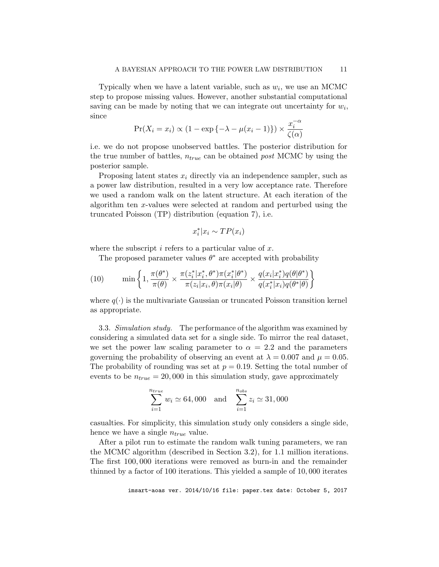Typically when we have a latent variable, such as  $w_i$ , we use an MCMC step to propose missing values. However, another substantial computational saving can be made by noting that we can integrate out uncertainty for  $w_i$ , since

$$
\Pr(X_i = x_i) \propto (1 - \exp\{-\lambda - \mu(x_i - 1)\}) \times \frac{x_i^{-\alpha}}{\zeta(\alpha)}
$$

i.e. we do not propose unobserved battles. The posterior distribution for the true number of battles,  $n_{true}$  can be obtained *post* MCMC by using the posterior sample.

Proposing latent states  $x_i$  directly via an independence sampler, such as a power law distribution, resulted in a very low acceptance rate. Therefore we used a random walk on the latent structure. At each iteration of the algorithm ten x-values were selected at random and perturbed using the truncated Poisson (TP) distribution (equation 7), i.e.

$$
x_i^* | x_i \sim TP(x_i)
$$

where the subscript  $i$  refers to a particular value of  $x$ .

The proposed parameter values  $\theta^*$  are accepted with probability

(10) 
$$
\min\left\{1,\frac{\pi(\theta^*)}{\pi(\theta)}\times\frac{\pi(z_i^*|x_i^*,\theta^*)\pi(x_i^*|\theta^*)}{\pi(z_i|x_i,\theta)\pi(x_i|\theta)}\times\frac{q(x_i|x_i^*)q(\theta|\theta^*)}{q(x_i^*|x_i)q(\theta^*|\theta)}\right\}
$$

where  $q(\cdot)$  is the multivariate Gaussian or truncated Poisson transition kernel as appropriate.

3.3. Simulation study. The performance of the algorithm was examined by considering a simulated data set for a single side. To mirror the real dataset, we set the power law scaling parameter to  $\alpha = 2.2$  and the parameters governing the probability of observing an event at  $\lambda = 0.007$  and  $\mu = 0.05$ . The probability of rounding was set at  $p = 0.19$ . Setting the total number of events to be  $n_{true} = 20,000$  in this simulation study, gave approximately

$$
\sum_{i=1}^{n_{true}} w_i \simeq 64,000 \quad \text{and} \quad \sum_{i=1}^{n_{obs}} z_i \simeq 31,000
$$

casualties. For simplicity, this simulation study only considers a single side, hence we have a single  $n_{true}$  value.

After a pilot run to estimate the random walk tuning parameters, we ran the MCMC algorithm (described in Section 3.2), for 1.1 million iterations. The first 100, 000 iterations were removed as burn-in and the remainder thinned by a factor of 100 iterations. This yielded a sample of 10, 000 iterates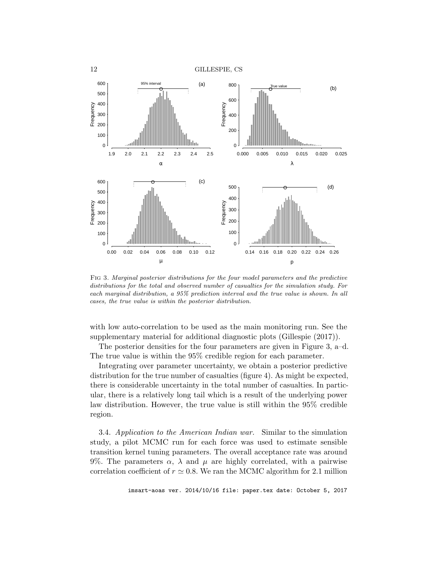

Fig 3. Marginal posterior distributions for the four model parameters and the predictive distributions for the total and observed number of casualties for the simulation study. For each marginal distribution, a 95% prediction interval and the true value is shown. In all cases, the true value is within the posterior distribution.

with low auto-correlation to be used as the main monitoring run. See the supplementary material for additional diagnostic plots (Gillespie (2017)).

The posterior densities for the four parameters are given in Figure 3, a–d. The true value is within the 95% credible region for each parameter.

Integrating over parameter uncertainty, we obtain a posterior predictive distribution for the true number of casualties (figure 4). As might be expected, there is considerable uncertainty in the total number of casualties. In particular, there is a relatively long tail which is a result of the underlying power law distribution. However, the true value is still within the 95% credible region.

3.4. Application to the American Indian war. Similar to the simulation study, a pilot MCMC run for each force was used to estimate sensible transition kernel tuning parameters. The overall acceptance rate was around 9%. The parameters  $\alpha$ ,  $\lambda$  and  $\mu$  are highly correlated, with a pairwise correlation coefficient of  $r \approx 0.8$ . We ran the MCMC algorithm for 2.1 million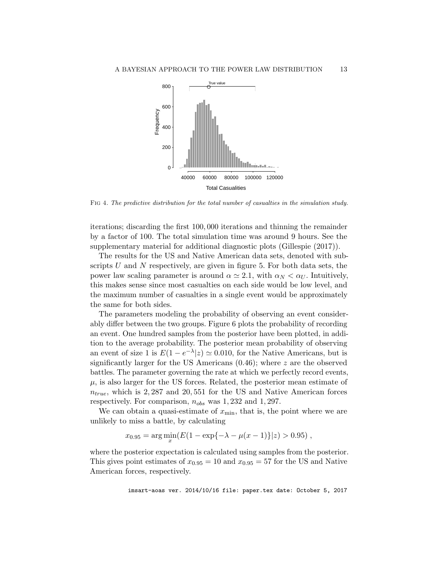

Fig 4. The predictive distribution for the total number of casualties in the simulation study.

iterations; discarding the first 100, 000 iterations and thinning the remainder by a factor of 100. The total simulation time was around 9 hours. See the supplementary material for additional diagnostic plots (Gillespie (2017)).

The results for the US and Native American data sets, denoted with subscripts U and N respectively, are given in figure 5. For both data sets, the power law scaling parameter is around  $\alpha \simeq 2.1$ , with  $\alpha_N < \alpha_U$ . Intuitively, this makes sense since most casualties on each side would be low level, and the maximum number of casualties in a single event would be approximately the same for both sides.

The parameters modeling the probability of observing an event considerably differ between the two groups. Figure 6 plots the probability of recording an event. One hundred samples from the posterior have been plotted, in addition to the average probability. The posterior mean probability of observing an event of size 1 is  $E(1 - e^{-\lambda} | z) \simeq 0.010$ , for the Native Americans, but is significantly larger for the US Americans  $(0.46)$ ; where z are the observed battles. The parameter governing the rate at which we perfectly record events,  $\mu$ , is also larger for the US forces. Related, the posterior mean estimate of  $n_{true}$ , which is 2,287 and 20,551 for the US and Native American forces respectively. For comparison,  $n_{obs}$  was 1, 232 and 1, 297.

We can obtain a quasi-estimate of  $x_{\min}$ , that is, the point where we are unlikely to miss a battle, by calculating

$$
x_{0.95} = \arg\min_{x} (E(1 - \exp{-\lambda - \mu(x - 1)})|z) > 0.95),
$$

where the posterior expectation is calculated using samples from the posterior. This gives point estimates of  $x_{0.95} = 10$  and  $x_{0.95} = 57$  for the US and Native American forces, respectively.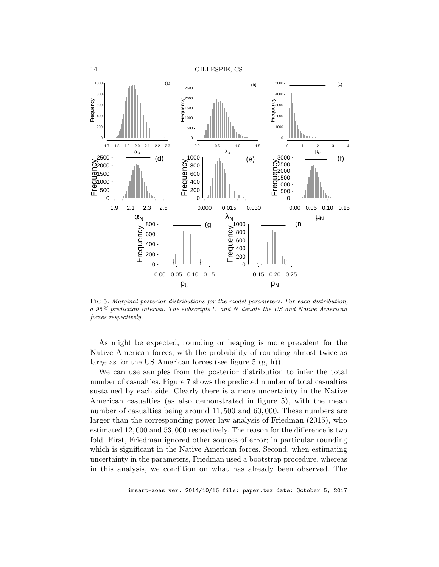

Fig 5. Marginal posterior distributions for the model parameters. For each distribution, a 95% prediction interval. The subscripts U and N denote the US and Native American forces respectively.

As might be expected, rounding or heaping is more prevalent for the Native American forces, with the probability of rounding almost twice as large as for the US American forces (see figure 5 (g, h)).

We can use samples from the posterior distribution to infer the total number of casualties. Figure 7 shows the predicted number of total casualties sustained by each side. Clearly there is a more uncertainty in the Native American casualties (as also demonstrated in figure 5), with the mean number of casualties being around 11, 500 and 60, 000. These numbers are larger than the corresponding power law analysis of Friedman (2015), who estimated 12, 000 and 53, 000 respectively. The reason for the difference is two fold. First, Friedman ignored other sources of error; in particular rounding which is significant in the Native American forces. Second, when estimating uncertainty in the parameters, Friedman used a bootstrap procedure, whereas in this analysis, we condition on what has already been observed. The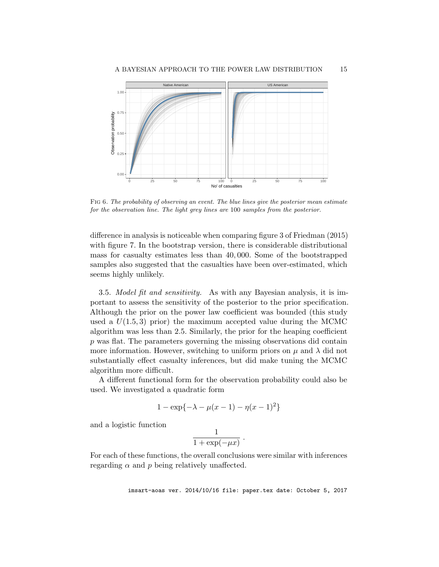

Fig 6. The probability of observing an event. The blue lines give the posterior mean estimate for the observation line. The light grey lines are 100 samples from the posterior.

difference in analysis is noticeable when comparing figure 3 of Friedman (2015) with figure 7. In the bootstrap version, there is considerable distributional mass for casualty estimates less than 40, 000. Some of the bootstrapped samples also suggested that the casualties have been over-estimated, which seems highly unlikely.

3.5. Model fit and sensitivity. As with any Bayesian analysis, it is important to assess the sensitivity of the posterior to the prior specification. Although the prior on the power law coefficient was bounded (this study used a  $U(1.5, 3)$  prior) the maximum accepted value during the MCMC algorithm was less than 2.5. Similarly, the prior for the heaping coefficient p was flat. The parameters governing the missing observations did contain more information. However, switching to uniform priors on  $\mu$  and  $\lambda$  did not substantially effect casualty inferences, but did make tuning the MCMC algorithm more difficult.

A different functional form for the observation probability could also be used. We investigated a quadratic form

$$
1 - \exp\{-\lambda - \mu(x-1) - \eta(x-1)^2\}
$$

and a logistic function

1  $\frac{1}{1+\exp(-\mu x)}$ .

For each of these functions, the overall conclusions were similar with inferences regarding  $\alpha$  and  $p$  being relatively unaffected.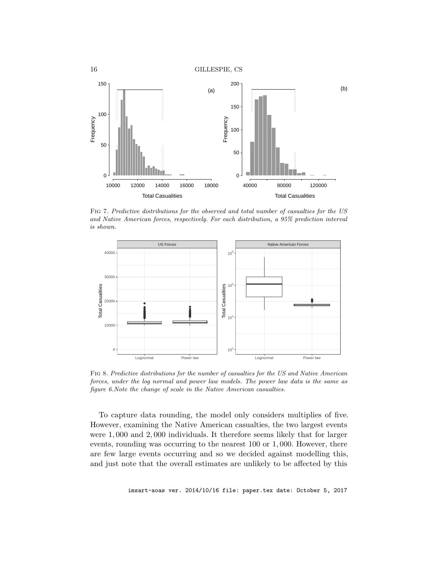

Fig 7. Predictive distributions for the observed and total number of casualties for the US and Native American forces, respectively. For each distribution, a 95% prediction interval is shown.



Fig 8. Predictive distributions for the number of casualties for the US and Native American forces, under the log normal and power law models. The power law data is the same as figure 6.Note the change of scale in the Native American casualties.

To capture data rounding, the model only considers multiplies of five. However, examining the Native American casualties, the two largest events were 1, 000 and 2, 000 individuals. It therefore seems likely that for larger events, rounding was occurring to the nearest 100 or 1, 000. However, there are few large events occurring and so we decided against modelling this, and just note that the overall estimates are unlikely to be affected by this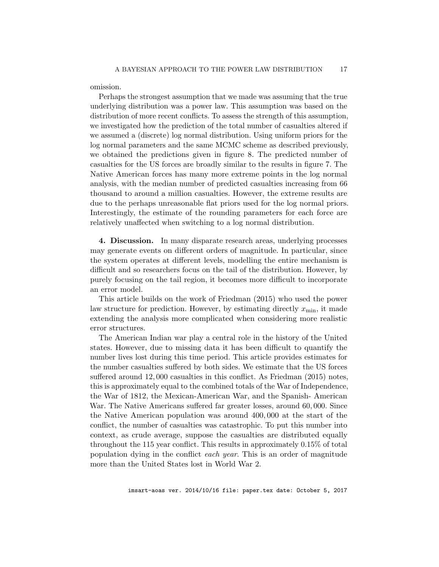omission.

Perhaps the strongest assumption that we made was assuming that the true underlying distribution was a power law. This assumption was based on the distribution of more recent conflicts. To assess the strength of this assumption, we investigated how the prediction of the total number of casualties altered if we assumed a (discrete) log normal distribution. Using uniform priors for the log normal parameters and the same MCMC scheme as described previously, we obtained the predictions given in figure 8. The predicted number of casualties for the US forces are broadly similar to the results in figure 7. The Native American forces has many more extreme points in the log normal analysis, with the median number of predicted casualties increasing from 66 thousand to around a million casualties. However, the extreme results are due to the perhaps unreasonable flat priors used for the log normal priors. Interestingly, the estimate of the rounding parameters for each force are relatively unaffected when switching to a log normal distribution.

4. Discussion. In many disparate research areas, underlying processes may generate events on different orders of magnitude. In particular, since the system operates at different levels, modelling the entire mechanism is difficult and so researchers focus on the tail of the distribution. However, by purely focusing on the tail region, it becomes more difficult to incorporate an error model.

This article builds on the work of Friedman (2015) who used the power law structure for prediction. However, by estimating directly  $x_{\min}$ , it made extending the analysis more complicated when considering more realistic error structures.

The American Indian war play a central role in the history of the United states. However, due to missing data it has been difficult to quantify the number lives lost during this time period. This article provides estimates for the number casualties suffered by both sides. We estimate that the US forces suffered around 12, 000 casualties in this conflict. As Friedman (2015) notes, this is approximately equal to the combined totals of the War of Independence, the War of 1812, the Mexican-American War, and the Spanish- American War. The Native Americans suffered far greater losses, around 60, 000. Since the Native American population was around 400, 000 at the start of the conflict, the number of casualties was catastrophic. To put this number into context, as crude average, suppose the casualties are distributed equally throughout the 115 year conflict. This results in approximately 0.15% of total population dying in the conflict each year. This is an order of magnitude more than the United States lost in World War 2.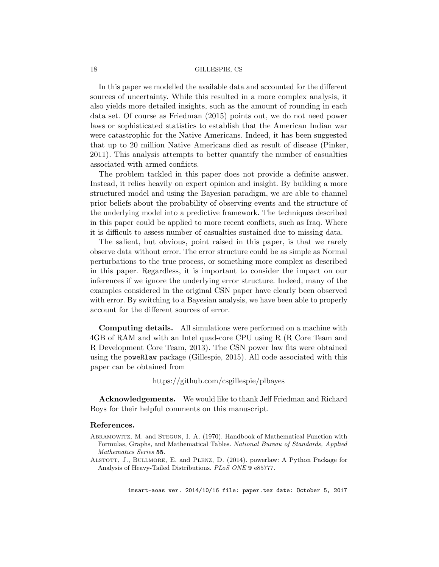In this paper we modelled the available data and accounted for the different sources of uncertainty. While this resulted in a more complex analysis, it also yields more detailed insights, such as the amount of rounding in each data set. Of course as Friedman (2015) points out, we do not need power laws or sophisticated statistics to establish that the American Indian war were catastrophic for the Native Americans. Indeed, it has been suggested that up to 20 million Native Americans died as result of disease (Pinker, 2011). This analysis attempts to better quantify the number of casualties associated with armed conflicts.

The problem tackled in this paper does not provide a definite answer. Instead, it relies heavily on expert opinion and insight. By building a more structured model and using the Bayesian paradigm, we are able to channel prior beliefs about the probability of observing events and the structure of the underlying model into a predictive framework. The techniques described in this paper could be applied to more recent conflicts, such as Iraq. Where it is difficult to assess number of casualties sustained due to missing data.

The salient, but obvious, point raised in this paper, is that we rarely observe data without error. The error structure could be as simple as Normal perturbations to the true process, or something more complex as described in this paper. Regardless, it is important to consider the impact on our inferences if we ignore the underlying error structure. Indeed, many of the examples considered in the original CSN paper have clearly been observed with error. By switching to a Bayesian analysis, we have been able to properly account for the different sources of error.

Computing details. All simulations were performed on a machine with 4GB of RAM and with an Intel quad-core CPU using R (R Core Team and R Development Core Team, 2013). The CSN power law fits were obtained using the poweRlaw package (Gillespie, 2015). All code associated with this paper can be obtained from

### https://github.com/csgillespie/plbayes

Acknowledgements. We would like to thank Jeff Friedman and Richard Boys for their helpful comments on this manuscript.

## References.

- Abramowitz, M. and Stegun, I. A. (1970). Handbook of Mathematical Function with Formulas, Graphs, and Mathematical Tables. National Bureau of Standards, Applied Mathematics Series 55.
- Alstott, J., Bullmore, E. and Plenz, D. (2014). powerlaw: A Python Package for Analysis of Heavy-Tailed Distributions. PLoS ONE 9 e85777.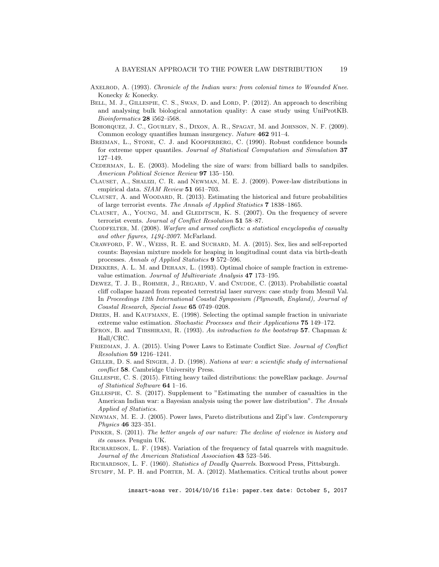- AXELROD, A. (1993). Chronicle of the Indian wars: from colonial times to Wounded Knee. Konecky & Konecky.
- BELL, M. J., GILLESPIE, C. S., SWAN, D. and LORD, P. (2012). An approach to describing and analysing bulk biological annotation quality: A case study using UniProtKB. Bioinformatics 28 i562–i568.
- Bohorquez, J. C., Gourley, S., Dixon, A. R., Spagat, M. and Johnson, N. F. (2009). Common ecology quantifies human insurgency. Nature 462 911–4.
- BREIMAN, L., STONE, C. J. and KOOPERBERG, C. (1990). Robust confidence bounds for extreme upper quantiles. Journal of Statistical Computation and Simulation 37 127–149.
- CEDERMAN, L. E. (2003). Modeling the size of wars: from billiard balls to sandpiles. American Political Science Review 97 135–150.
- Clauset, A., Shalizi, C. R. and Newman, M. E. J. (2009). Power-law distributions in empirical data. SIAM Review 51 661-703.
- CLAUSET, A. and WOODARD, R. (2013). Estimating the historical and future probabilities of large terrorist events. The Annals of Applied Statistics 7 1838–1865.
- CLAUSET, A., YOUNG, M. and GLEDITSCH, K. S. (2007). On the frequency of severe terrorist events. Journal of Conflict Resolution 51 58-87.
- CLODFELTER, M. (2008). Warfare and armed conflicts: a statistical encyclopedia of casualty and other figures, 1494-2007. McFarland.
- Crawford, F. W., Weiss, R. E. and Suchard, M. A. (2015). Sex, lies and self-reported counts: Bayesian mixture models for heaping in longitudinal count data via birth-death processes. Annals of Applied Statistics 9 572–596.
- Dekkers, A. L. M. and Dehaan, L. (1993). Optimal choice of sample fraction in extremevalue estimation. Journal of Multivariate Analysis 47 173–195.
- DEWEZ, T. J. B., ROHMER, J., REGARD, V. and CNUDDE, C. (2013). Probabilistic coastal cliff collapse hazard from repeated terrestrial laser surveys: case study from Mesnil Val. In Proceedings 12th International Coastal Symposium (Plymouth, England), Journal of Coastal Research, Special Issue 65 0749–0208.
- DREES, H. and KAUFMANN, E. (1998). Selecting the optimal sample fraction in univariate extreme value estimation. Stochastic Processes and their Applications 75 149–172.
- EFRON, B. and TIBSHIRANI, R. (1993). An introduction to the bootstrap 57. Chapman  $\&$ Hall/CRC.
- FRIEDMAN, J. A. (2015). Using Power Laws to Estimate Conflict Size. Journal of Conflict Resolution 59 1216–1241.
- GELLER, D. S. and SINGER, J. D. (1998). Nations at war: a scientific study of international conflict 58. Cambridge University Press.
- Gillespie, C. S. (2015). Fitting heavy tailed distributions: the poweRlaw package. Journal of Statistical Software 64 1–16.
- Gillespie, C. S. (2017). Supplement to "Estimating the number of casualties in the American Indian war: a Bayesian analysis using the power law distribution". The Annals Applied of Statistics.
- Newman, M. E. J. (2005). Power laws, Pareto distributions and Zipf's law. Contemporary Physics 46 323–351.
- PINKER, S. (2011). The better angels of our nature: The decline of violence in history and its causes. Penguin UK.
- RICHARDSON, L. F. (1948). Variation of the frequency of fatal quarrels with magnitude. Journal of the American Statistical Association 43 523–546.

RICHARDSON, L. F. (1960). Statistics of Deadly Quarrels. Boxwood Press, Pittsburgh.

Stumpf, M. P. H. and Porter, M. A. (2012). Mathematics. Critical truths about power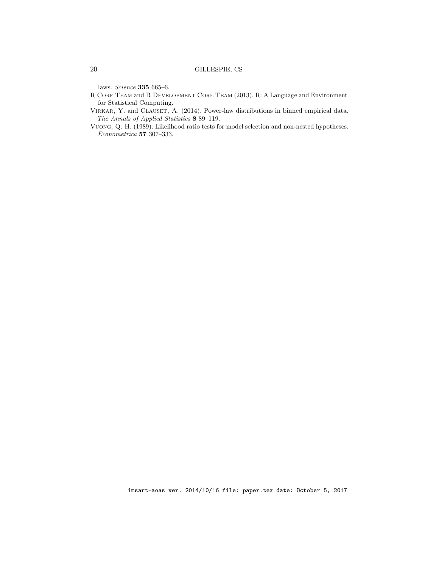laws. Science 335 665–6.

- R Core Team and R Development Core Team (2013). R: A Language and Environment for Statistical Computing.
- VIRKAR, Y. and CLAUSET, A. (2014). Power-law distributions in binned empirical data. The Annals of Applied Statistics 8 89–119.
- Vuong, Q. H. (1989). Likelihood ratio tests for model selection and non-nested hypotheses. Econometrica 57 307–333.